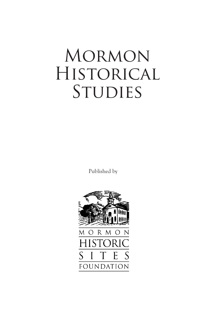# Mormon Historical STUDIES

Published by

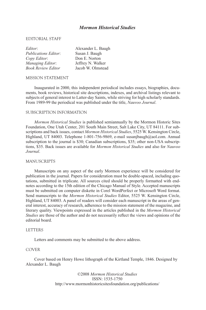# *Mormon Historical Studies*

#### EDITORIAL STAFF

| Editor:                     | Alexander L. Baugh |
|-----------------------------|--------------------|
| <b>Publications Editor:</b> | Susan J. Baugh     |
| Copy Editor:                | Don E. Norton      |
| Managing Editor:            | Jeffrey N. Walker  |
| <b>Book Review Editor</b>   | Jacob W. Olmstead  |

#### MISSION STATEMENT

Inaugurated in 2000, this independent periodical includes essays, biographies, documents, book reviews, historical site descriptions, indexes, and archival listings relevant to subjects of general interest to Latter-day Saints, while striving for high scholarly standards. From 1989-99 the periodical was published under the title, *Nauvoo Journal*.

#### SUBSCRIPTION INFORMATION

*Mormon Historical Studies* is published semiannually by the Mormon Historic Sites Foundation, One Utah Center, 201 South Main Street, Salt Lake City, UT 84111. For subscriptions and back issues, contact *Mormon Historical Studies*, 5525 W. Kensington Circle, Highland, UT 84003. Telephone 1-801-756-9869, e-mail susanjbaugh@aol.com. Annual subscription to the journal is \$30; Canadian subscriptions, \$35; other non-USA subscriptions, \$35. Back issues are available for *Mormon Historical Studies* and also for *Nauvoo Journal*.

#### MANUSCRIPTS

Manuscripts on any aspect of the early Mormon experience will be considered for publication in the journal. Papers for consideration must be double-spaced, including quotations, submitted in triplicate. All sources cited should be properly formatted with endnotes according to the 15th edition of the Chicago Manual of Style. Accepted manuscripts must be submitted on computer diskette in Corel WordPerfect or Microsoft Word format. Send manuscripts to the *Mormon Historical Studies* Editor, 5525 W. Kensington Circle, Highland, UT 84003. A panel of readers will consider each manuscript in the areas of general interest, accuracy of research, adherence to the mission statement of the magazine, and literary quality. Viewpoints expressed in the articles published in the *Mormon Historical Studies* are those of the author and do not necessarily reflect the views and opinions of the editorial board.

#### **LETTERS**

Letters and comments may be submitted to the above address.

#### COVER

Cover based on Henry Howe lithograph of the Kirtland Temple, 1846. Designed by Alexander L. Baugh

> ©2008 *Mormon Historical Studies* ISSN: 1535-1750 http://www.mormonhistoricsitesfoundation.org/publications/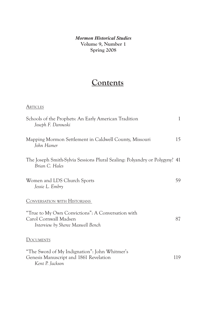*Mormon Historical Studies* **Volume 9, Number 1 Spring 2008**

# **Contents**

# **ARTICLES**

| Schools of the Prophets: An Early American Tradition<br>Joseph F. Darowski                                      | 1   |
|-----------------------------------------------------------------------------------------------------------------|-----|
| Mapping Mormon Settlement in Caldwell County, Missouri<br>John Hamer                                            | 15  |
| The Joseph Smith-Sylvia Sessions Plural Sealing: Polyandry or Polygyny? 41<br>Brian C. Hales                    |     |
| Women and LDS Church Sports<br>Jessie L. Embry                                                                  | 59  |
| <b>CONVERSATION WITH HISTORIANS</b>                                                                             |     |
| "True to My Own Convictions": A Conversation with<br>Carol Cornwall Madsen<br>Interview by Sheree Maxwell Bench | 87  |
| <b>DOCUMENTS</b>                                                                                                |     |
| "The Sword of My Indignation": John Whitmer's<br>Genesis Manuscript and 1861 Revelation<br>Kent P. Jackson      | 119 |